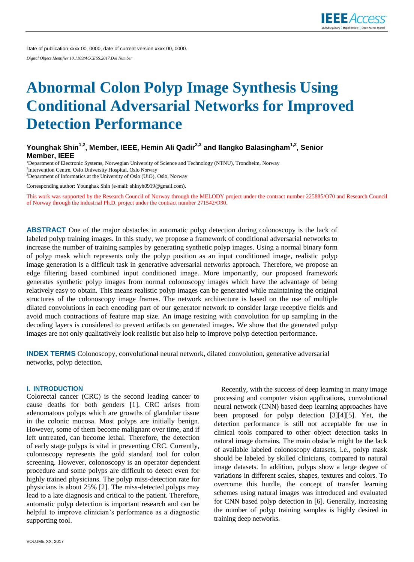Date of publication xxxx 00, 0000, date of current version xxxx 00, 0000. *Digital Object Identifier 10.1109/ACCESS.2017.Doi Number*

# **Abnormal Colon Polyp Image Synthesis Using Conditional Adversarial Networks for Improved Detection Performance**

# **Younghak Shin1,2 , Member, IEEE, Hemin Ali Qadir2,3 and Ilangko Balasingham1,2 , Senior Member, IEEE**

<sup>1</sup>Department of Electronic Systems, Norwegian University of Science and Technology (NTNU), Trondheim, Norway 2 Intervention Centre, Oslo University Hospital, Oslo Norway <sup>3</sup>Department of Informatics at the University of Oslo (UiO), Oslo, Norway

Corresponding author: Younghak Shin (e-mail: shinyh0919@gmail.com).

This work was supported by the Research Council of Norway through the MELODY project under the contract number 225885/O70 and Research Council of Norway through the industrial Ph.D. project under the contract number 271542/O30.

**ABSTRACT** One of the major obstacles in automatic polyp detection during colonoscopy is the lack of labeled polyp training images. In this study, we propose a framework of conditional adversarial networks to increase the number of training samples by generating synthetic polyp images. Using a normal binary form of polyp mask which represents only the polyp position as an input conditioned image, realistic polyp image generation is a difficult task in generative adversarial networks approach. Therefore, we propose an edge filtering based combined input conditioned image. More importantly, our proposed framework generates synthetic polyp images from normal colonoscopy images which have the advantage of being relatively easy to obtain. This means realistic polyp images can be generated while maintaining the original structures of the colonoscopy image frames. The network architecture is based on the use of multiple dilated convolutions in each encoding part of our generator network to consider large receptive fields and avoid much contractions of feature map size. An image resizing with convolution for up sampling in the decoding layers is considered to prevent artifacts on generated images. We show that the generated polyp images are not only qualitatively look realistic but also help to improve polyp detection performance.

**INDEX TERMS** Colonoscopy, convolutional neural network, dilated convolution, generative adversarial networks, polyp detection.

#### **I. INTRODUCTION**

Colorectal cancer (CRC) is the second leading cancer to cause deaths for both genders [1]. CRC arises from adenomatous polyps which are growths of glandular tissue in the colonic mucosa. Most polyps are initially benign. However, some of them become malignant over time, and if left untreated, can become lethal. Therefore, the detection of early stage polyps is vital in preventing CRC. Currently, colonoscopy represents the gold standard tool for colon screening. However, colonoscopy is an operator dependent procedure and some polyps are difficult to detect even for highly trained physicians. The polyp miss-detection rate for physicians is about 25% [2]. The miss-detected polyps may lead to a late diagnosis and critical to the patient. Therefore, automatic polyp detection is important research and can be helpful to improve clinician's performance as a diagnostic supporting tool.

Recently, with the success of deep learning in many image processing and computer vision applications, convolutional neural network (CNN) based deep learning approaches have been proposed for polyp detection [3][4][5]. Yet, the detection performance is still not acceptable for use in clinical tools compared to other object detection tasks in natural image domains. The main obstacle might be the lack of available labeled colonoscopy datasets, i.e., polyp mask should be labeled by skilled clinicians, compared to natural image datasets. In addition, polyps show a large degree of variations in different scales, shapes, textures and colors. To overcome this hurdle, the concept of transfer learning schemes using natural images was introduced and evaluated for CNN based polyp detection in [6]. Generally, increasing the number of polyp training samples is highly desired in training deep networks.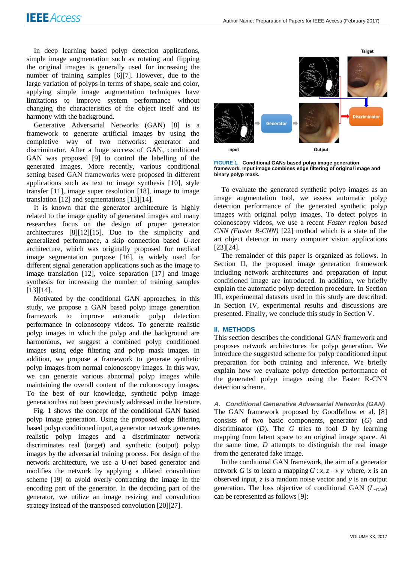In deep learning based polyp detection applications, simple image augmentation such as rotating and flipping the original images is generally used for increasing the number of training samples [6][7]. However, due to the large variation of polyps in terms of shape, scale and color, applying simple image augmentation techniques have limitations to improve system performance without changing the characteristics of the object itself and its harmony with the background.

Generative Adversarial Networks (GAN) [8] is a framework to generate artificial images by using the completive way of two networks: generator and discriminator. After a huge success of GAN, conditional GAN was proposed [9] to control the labelling of the generated images. More recently, various conditional setting based GAN frameworks were proposed in different applications such as text to image synthesis [10], style transfer [11], image super resolution [18], image to image translation [12] and segmentations [13][14].

It is known that the generator architecture is highly related to the image quality of generated images and many researches focus on the design of proper generator architectures [8][12][15]. Due to the simplicity and generalized performance, a skip connection based *U-net* architecture, which was originally proposed for medical image segmentation purpose [16], is widely used for different signal generation applications such as the image to image translation [12], voice separation [17] and image synthesis for increasing the number of training samples [13][14].

Motivated by the conditional GAN approaches, in this study, we propose a GAN based polyp image generation framework to improve automatic polyp detection performance in colonoscopy videos. To generate realistic polyp images in which the polyp and the background are harmonious, we suggest a combined polyp conditioned images using edge filtering and polyp mask images. In addition, we propose a framework to generate synthetic polyp images from normal colonoscopy images. In this way, we can generate various abnormal polyp images while maintaining the overall content of the colonoscopy images. To the best of our knowledge, synthetic polyp image generation has not been previously addressed in the literature.

Fig. 1 shows the concept of the conditional GAN based polyp image generation. Using the proposed edge filtering based polyp conditioned input, a generator network generates realistic polyp images and a discriminator network discriminates real (target) and synthetic (output) polyp images by the adversarial training process. For design of the network architecture, we use a U-net based generator and modifies the network by applying a dilated convolution scheme [19] to avoid overly contracting the image in the encoding part of the generator. In the decoding part of the generator, we utilize an image resizing and convolution strategy instead of the transposed convolution [20][27].



**FIGURE 1. Conditional GANs based polyp image generation framework. Input image combines edge filtering of original image and binary polyp mask.**

To evaluate the generated synthetic polyp images as an image augmentation tool, we assess automatic polyp detection performance of the generated synthetic polyp images with original polyp images. To detect polyps in colonoscopy videos, we use a recent *Faster region based CNN (Faster R-CNN)* [22] method which is a state of the art object detector in many computer vision applications [23][24].

The remainder of this paper is organized as follows. In Section II, the proposed image generation framework including network architectures and preparation of input conditioned image are introduced. In addition, we briefly explain the automatic polyp detection procedure. In Section III, experimental datasets used in this study are described. In Section IV, experimental results and discussions are presented. Finally, we conclude this study in Section V.

#### **II. METHODS**

This section describes the conditional GAN framework and proposes network architectures for polyp generation. We introduce the suggested scheme for polyp conditioned input preparation for both training and inference. We briefly explain how we evaluate polyp detection performance of the generated polyp images using the Faster R-CNN detection scheme.

*A. Conditional Generative Adversarial Networks (GAN)* The GAN framework proposed by Goodfellow et al. [8] consists of two basic components, generator (*G*) and discriminator (*D*). The *G* tries to fool *D* by learning mapping from latent space to an original image space. At the same time, *D* attempts to distinguish the real image from the generated fake image.

In the conditional GAN framework, the aim of a generator network *G* is to learn a mapping  $G: x, z \rightarrow y$  where, *x* is an observed input, *z* is a random noise vector and *y* is an output generation. The loss objective of conditional GAN (*LcGAN*) can be represented as follows [9]: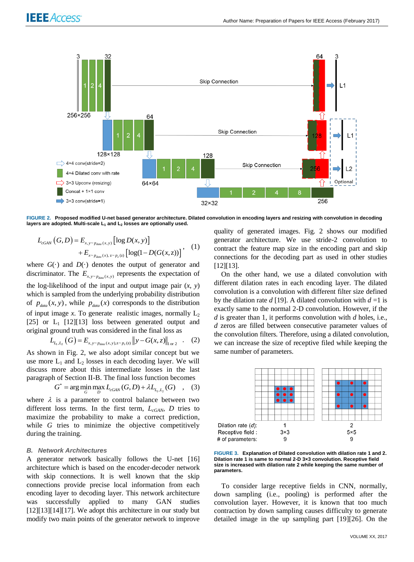

**FIGURE 2. Proposed modified U-net based generator architecture. Dilated convolution in encoding layers and resizing with convolution in decoding layers are adopted. Multi-scale L<sup>1</sup> and L<sup>2</sup> losses are optionally used.** 

$$
L_{cGAN}(G, D) = E_{x, y \sim p_{data}(x, y)} [log D(x, y)] + E_{x \sim p_{data}(x), z \sim p_z(z)} [log(1 - D(G(x, z))] \qquad (1)
$$

where  $G(\cdot)$  and  $D(\cdot)$  denotes the output of generator and discriminator. The  $E_{x,y \sim p_{data}(x,y)}$  represents the expectation of the log-likelihood of the input and output image pair  $(x, y)$ which is sampled from the underlying probability distribution of  $p_{data}(x, y)$ , while  $p_{data}(x)$  corresponds to the distribution of input image  $x$ . To generate realistic images, normally  $L_2$ [25] or  $L_1$  [12][13] loss between generated output and

original ground truth was considered in the final loss as  

$$
L_{I_1, I_2}(G) = E_{x, y \sim p_{data}(x, y), z \sim p_z(z)} ||y - G(x, z)||_{1 \text{ or } 2}.
$$
 (2)

As shown in Fig. 2, we also adopt similar concept but we use more  $L_1$  and  $L_2$  losses in each decoding layer. We will discuss more about this intermediate losses in the last paragraph of Section II-B. The final loss function becomes<br>  $G^* = \arg\min_G \max_D L_{cGAN}(G, D) + \lambda L_{L_1, L_2}(G)$ , (3)

$$
G^* = \arg\min_G \max_D L_{cGAN}(G, D) + \lambda L_{L_1, L_2}(G) \quad , \quad (3)
$$

where  $\lambda$  is a parameter to control balance between two different loss terms. In the first term, *LcGAN*, *D* tries to maximize the probability to make a correct prediction, while *G* tries to minimize the objective competitively during the training.

#### *B. Network Architectures*

A generator network basically follows the U-net [16] architecture which is based on the encoder-decoder network with skip connections. It is well known that the skip connections provide precise local information from each encoding layer to decoding layer. This network architecture was successfully applied to many GAN studies [12][13][14][17]. We adopt this architecture in our study but modify two main points of the generator network to improve quality of generated images. Fig. 2 shows our modified generator architecture. We use stride-2 convolution to contract the feature map size in the encoding part and skip connections for the decoding part as used in other studies [12][13].

On the other hand, we use a dilated convolution with different dilation rates in each encoding layer. The dilated convolution is a convolution with different filter size defined by the dilation rate *d* [19]. A dilated convolution with *d* =1 is exactly same to the normal 2-D convolution. However, if the *d* is greater than 1, it performs convolution with *d* holes, i.e., *d* zeros are filled between consecutive parameter values of the convolution filters. Therefore, using a dilated convolution, we can increase the size of receptive filed while keeping the same number of parameters.



**FIGURE 3. Explanation of Dilated convolution with dilation rate 1 and 2. Dilation rate 1 is same to normal 2-D 3×3 convolution. Receptive field size is increased with dilation rate 2 while keeping the same number of parameters.** 

To consider large receptive fields in CNN, normally, down sampling (i.e., pooling) is performed after the convolution layer. However, it is known that too much contraction by down sampling causes difficulty to generate detailed image in the up sampling part [19][26]. On the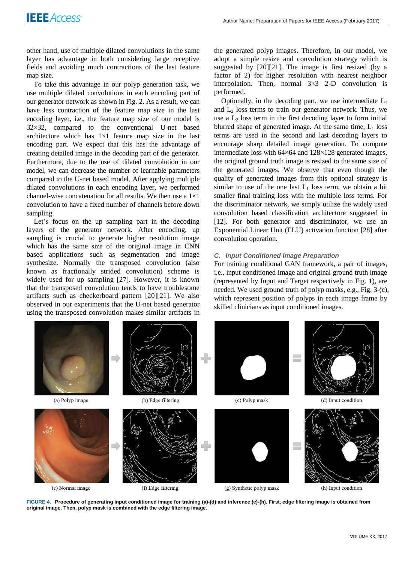other hand, use of multiple dilated convolutions in the same layer has advantage in both considering large receptive fields and avoiding much contractions of the last feature map size.

To take this advantage in our polyp generation task, we use multiple dilated convolutions in each encoding part of our generator network as shown in Fig. 2. As a result, we can have less contraction of the feature map size in the last encoding layer, i.e., the feature map size of our model is 32×32, compared to the conventional U-net based architecture which has  $1\times1$  feature map size in the last encoding part. We expect that this has the advantage of creating detailed image in the decoding part of the generator. Furthermore, due to the use of dilated convolution in our model, we can decrease the number of learnable parameters compared to the U-net based model. After applying multiple dilated convolutions in each encoding layer, we performed channel-wise concatenation for all results. We then use a  $1\times1$ convolution to have a fixed number of channels before down sampling.

Let's focus on the up sampling part in the decoding layers of the generator network. After encoding, up sampling is crucial to generate higher resolution image which has the same size of the original image in CNN based applications such as segmentation and image synthesize. Normally the transposed convolution (also known as fractionally strided convolution) scheme is widely used for up sampling [27]. However, it is known that the transposed convolution tends to have troublesome artifacts such as checkerboard pattern [20][21]. We also observed in our experiments that the U-net based generator using the transposed convolution makes similar artifacts in

the generated polyp images. Therefore, in our model, we adopt a simple resize and convolution strategy which is suggested by [20][21]. The image is first resized (by a factor of 2) for higher resolution with nearest neighbor interpolation. Then, normal  $3\times3$  2-D convolution is performed.

Optionally, in the decoding part, we use intermediate  $L_1$ and  $L_2$  loss terms to train our generator network. Thus, we use a  $L_2$  loss term in the first decoding layer to form initial blurred shape of generated image. At the same time,  $L_1$  loss terms are used in the second and last decoding layers to encourage sharp detailed image generation. To compute intermediate loss with 64×64 and 128×128 generated images, the original ground truth image is resized to the same size of the generated images. We observe that even though the quality of generated images from this optional strategy is similar to use of the one last  $L_1$  loss term, we obtain a bit smaller final training loss with the multiple loss terms. For the discriminator network, we simply utilize the widely used convolution based classification architecture suggested in [12]. For both generator and discriminator, we use an Exponential Linear Unit (ELU) activation function [28] after convolution operation.

### *C. Input Conditioned Image Preparation*

For training conditional GAN framework, a pair of images, i.e., input conditioned image and original ground truth image (represented by Input and Target respectively in Fig. 1), are needed. We used ground truth of polyp masks, e.g., Fig. 3-(c), which represent position of polyps in each image frame by skilled clinicians as input conditioned images.



**FIGURE 4. Procedure of generating input conditioned image for training (a)-(d) and inference (e)-(h). First, edge filtering image is obtained from original image. Then, polyp mask is combined with the edge filtering image.**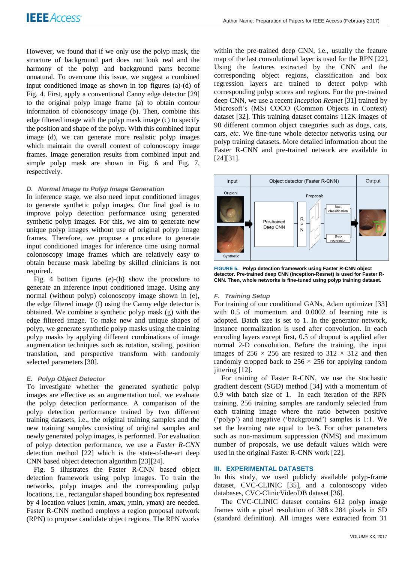However, we found that if we only use the polyp mask, the structure of background part does not look real and the harmony of the polyp and background parts become unnatural. To overcome this issue, we suggest a combined input conditioned image as shown in top figures (a)-(d) of Fig. 4. First, apply a conventional Canny edge detector [29] to the original polyp image frame (a) to obtain contour information of colonoscopy image (b). Then, combine this edge filtered image with the polyp mask image (c) to specify the position and shape of the polyp. With this combined input image (d), we can generate more realistic polyp images which maintain the overall context of colonoscopy image frames. Image generation results from combined input and simple polyp mask are shown in Fig. 6 and Fig. 7, respectively.

# *D. Normal Image to Polyp Image Generation*

In inference stage, we also need input conditioned images to generate synthetic polyp images. Our final goal is to improve polyp detection performance using generated synthetic polyp images. For this, we aim to generate new unique polyp images without use of original polyp image frames. Therefore, we propose a procedure to generate input conditioned images for inference time using normal colonoscopy image frames which are relatively easy to obtain because mask labeling by skilled clinicians is not required.

Fig. 4 bottom figures (e)-(h) show the procedure to generate an inference input conditioned image. Using any normal (without polyp) colonoscopy image shown in (e), the edge filtered image (f) using the Canny edge detector is obtained. We combine a synthetic polyp mask (g) with the edge filtered image. To make new and unique shapes of polyp, we generate synthetic polyp masks using the training polyp masks by applying different combinations of image augmentation techniques such as rotation, scaling, position translation, and perspective transform with randomly selected parameters [30].

# *E. Polyp Object Detector*

To investigate whether the generated synthetic polyp images are effective as an augmentation tool, we evaluate the polyp detection performance. A comparison of the polyp detection performance trained by two different training datasets, i.e., the original training samples and the new training samples consisting of original samples and newly generated polyp images, is performed. For evaluation of polyp detection performance, we use a *Faster R-CNN* detection method [22] which is the state-of-the-art deep CNN based object detection algorithm [23][24].

Fig. 5 illustrates the Faster R-CNN based object detection framework using polyp images. To train the networks, polyp images and the corresponding polyp locations, i.e., rectangular shaped bounding box represented by 4 location values (*x*min, *x*max, *y*min, *y*max) are needed. Faster R-CNN method employs a region proposal network (RPN) to propose candidate object regions. The RPN works

within the pre-trained deep CNN, i.e., usually the feature map of the last convolutional layer is used for the RPN [22]. Using the features extracted by the CNN and the corresponding object regions, classification and box regression layers are trained to detect polyp with corresponding polyp scores and regions. For the pre-trained deep CNN, we use a recent *Inception Resnet* [31] trained by Microsoft's (MS) COCO (Common Objects in Context) dataset [32]. This training dataset contains 112K images of 90 different common object categories such as dogs, cats, cars, *etc*. We fine-tune whole detector networks using our polyp training datasets. More detailed information about the Faster R-CNN and pre-trained network are available in [24][31].



**FIGURE 5. Polyp detection framework using Faster R-CNN object detector. Pre-trained deep CNN (Inception-Resnet) is used for Faster R-CNN. Then, whole networks is fine-tuned using polyp training dataset.**

## *F. Training Setup*

For training of our conditional GANs, Adam optimizer [33] with 0.5 of momentum and 0.0002 of learning rate is adopted. Batch size is set to 1. In the generator network, instance normalization is used after convolution. In each encoding layers except first, 0.5 of dropout is applied after normal 2-D convolution. Before the training, the input images of  $256 \times 256$  are resized to  $312 \times 312$  and then randomly cropped back to  $256 \times 256$  for applying random jittering [12].

For training of Faster R-CNN, we use the stochastic gradient descent (SGD) method [34] with a momentum of 0.9 with batch size of 1. In each iteration of the RPN training, 256 training samples are randomly selected from each training image where the ratio between positive ('polyp') and negative ('background') samples is 1:1. We set the learning rate equal to 1e-3. For other parameters such as non-maximum suppression (NMS) and maximum number of proposals, we use default values which were used in the original Faster R-CNN work [22].

# **III. EXPERIMENTAL DATASETS**

In this study, we used publicly available polyp-frame dataset, CVC-CLINIC [35], and a colonoscopy video databases, CVC-ClinicVideoDB dataset [36].

The CVC-CLINIC dataset contains 612 polyp image frames with a pixel resolution of  $388 \times 284$  pixels in SD (standard definition). All images were extracted from 31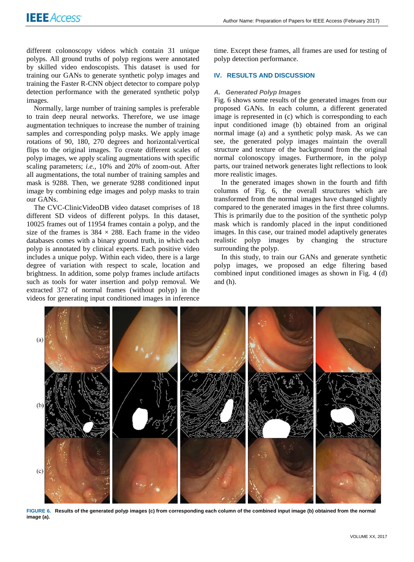different colonoscopy videos which contain 31 unique polyps. All ground truths of polyp regions were annotated by skilled video endoscopists. This dataset is used for training our GANs to generate synthetic polyp images and training the Faster R-CNN object detector to compare polyp detection performance with the generated synthetic polyp images.

Normally, large number of training samples is preferable to train deep neural networks. Therefore, we use image augmentation techniques to increase the number of training samples and corresponding polyp masks. We apply image rotations of 90, 180, 270 degrees and horizontal/vertical flips to the original images. To create different scales of polyp images, we apply scaling augmentations with specific scaling parameters; *i.e.,* 10% and 20% of zoom-out. After all augmentations, the total number of training samples and mask is 9288. Then, we generate 9288 conditioned input image by combining edge images and polyp masks to train our GANs.

The CVC-ClinicVideoDB video dataset comprises of 18 different SD videos of different polyps. In this dataset, 10025 frames out of 11954 frames contain a polyp, and the size of the frames is  $384 \times 288$ . Each frame in the video databases comes with a binary ground truth, in which each polyp is annotated by clinical experts. Each positive video includes a unique polyp. Within each video, there is a large degree of variation with respect to scale, location and brightness. In addition, some polyp frames include artifacts such as tools for water insertion and polyp removal. We extracted 372 of normal frames (without polyp) in the videos for generating input conditioned images in inference

time. Except these frames, all frames are used for testing of polyp detection performance.

# **IV. RESULTS AND DISCUSSION**

#### *A. Generated Polyp Images*

Fig. 6 shows some results of the generated images from our proposed GANs. In each column, a different generated image is represented in (c) which is corresponding to each input conditioned image (b) obtained from an original normal image (a) and a synthetic polyp mask. As we can see, the generated polyp images maintain the overall structure and texture of the background from the original normal colonoscopy images. Furthermore, in the polyp parts, our trained network generates light reflections to look more realistic images.

In the generated images shown in the fourth and fifth columns of Fig. 6, the overall structures which are transformed from the normal images have changed slightly compared to the generated images in the first three columns. This is primarily due to the position of the synthetic polyp mask which is randomly placed in the input conditioned images. In this case, our trained model adaptively generates realistic polyp images by changing the structure surrounding the polyp.

In this study, to train our GANs and generate synthetic polyp images, we proposed an edge filtering based combined input conditioned images as shown in Fig. 4 (d) and (h).



**FIGURE 6. Results of the generated polyp images (c) from corresponding each column of the combined input image (b) obtained from the normal image (a).**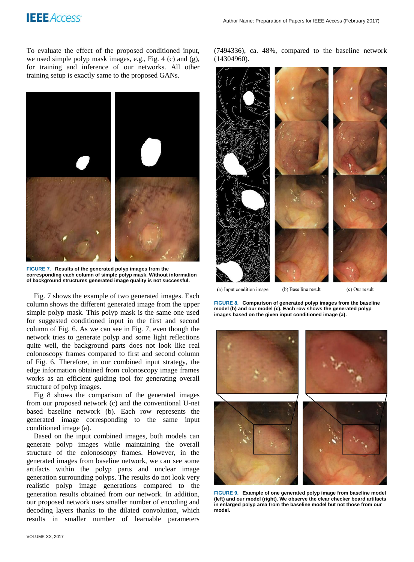To evaluate the effect of the proposed conditioned input, we used simple polyp mask images, e.g., Fig. 4 (c) and (g), for training and inference of our networks. All other training setup is exactly same to the proposed GANs.



**FIGURE 7. Results of the generated polyp images from the corresponding each column of simple polyp mask. Without information of background structures generated image quality is not successful.** 

Fig. 7 shows the example of two generated images. Each column shows the different generated image from the upper simple polyp mask. This polyp mask is the same one used for suggested conditioned input in the first and second column of Fig. 6. As we can see in Fig. 7, even though the network tries to generate polyp and some light reflections quite well, the background parts does not look like real colonoscopy frames compared to first and second column of Fig. 6. Therefore, in our combined input strategy, the edge information obtained from colonoscopy image frames works as an efficient guiding tool for generating overall structure of polyp images.

Fig 8 shows the comparison of the generated images from our proposed network (c) and the conventional U-net based baseline network (b). Each row represents the generated image corresponding to the same input conditioned image (a).

Based on the input combined images, both models can generate polyp images while maintaining the overall structure of the colonoscopy frames. However, in the generated images from baseline network, we can see some artifacts within the polyp parts and unclear image generation surrounding polyps. The results do not look very realistic polyp image generations compared to the generation results obtained from our network. In addition, our proposed network uses smaller number of encoding and decoding layers thanks to the dilated convolution, which results in smaller number of learnable parameters

(7494336), ca. 48%, compared to the baseline network (14304960).



(a) Input condition image

(c) Our result

**FIGURE 8. Comparison of generated polyp images from the baseline model (b) and our model (c). Each row shows the generated polyp images based on the given input conditioned image (a).**

(b) Base line result



**FIGURE 9. Example of one generated polyp image from baseline model (left) and our model (right). We observe the clear checker board artifacts in enlarged polyp area from the baseline model but not those from our model.**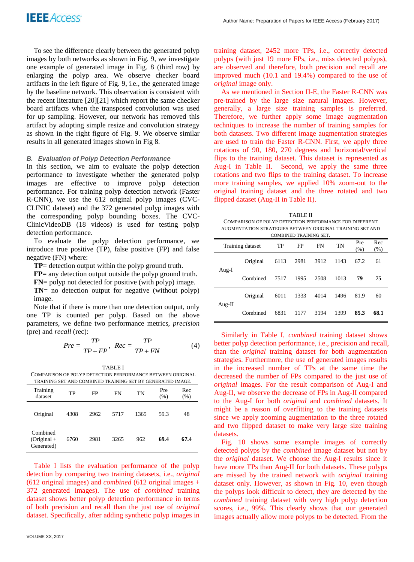To see the difference clearly between the generated polyp images by both networks as shown in Fig. 9, we investigate one example of generated image in Fig. 8 (third row) by enlarging the polyp area. We observe checker board artifacts in the left figure of Fig. 9, i.e., the generated image by the baseline network. This observation is consistent with the recent literature [20][21] which report the same checker board artifacts when the transposed convolution was used for up sampling. However, our network has removed this artifact by adopting simple resize and convolution strategy as shown in the right figure of Fig. 9. We observe similar results in all generated images shown in Fig 8.

## *B. Evaluation of Polyp Detection Performance*

In this section, we aim to evaluate the polyp detection performance to investigate whether the generated polyp images are effective to improve polyp detection performance. For training polyp detection network (Faster R-CNN), we use the 612 original polyp images (CVC-CLINIC dataset) and the 372 generated polyp images with the corresponding polyp bounding boxes. The CVC-ClinicVideoDB (18 videos) is used for testing polyp detection performance.

To evaluate the polyp detection performance, we introduce true positive (TP), false positive (FP) and false negative (FN) where:

**TP**= detection output within the polyp ground truth.

**FP**= any detection output outside the polyp ground truth.

**FN**= polyp not detected for positive (with polyp) image.

**TN**= no detection output for negative (without polyp) image.

Note that if there is more than one detection output, only one TP is counted per polyp. Based on the above parameters, we define two performance metrics, *precision* (pre) and *recall* (rec):

$$
Pre = \frac{TP}{TP + FP}, \; Rec = \frac{TP}{TP + FN}
$$
 (4)

TABLE I COMPARISON OF POLYP DETECTION PERFORMANCE BETWEEN ORIGINAL TRAINING SET AND COMBINED TRAINING SET BY GENERATED IMAGE.

| Training<br>dataset                     | TP   | FP   | <b>FN</b> | TN   | Pre<br>(% ) | Rec<br>(% ) |  |  |  |  |
|-----------------------------------------|------|------|-----------|------|-------------|-------------|--|--|--|--|
| Original                                | 4308 | 2962 | 5717      | 1365 | 59.3        | 48          |  |  |  |  |
| Combined<br>$(Original +$<br>Generated) | 6760 | 2981 | 3265      | 962  | 69.4        | 67.4        |  |  |  |  |

Table I lists the evaluation performance of the polyp detection by comparing two training datasets, i.e., *original* (612 original images) and *combined* (612 original images + 372 generated images). The use of *combined* training dataset shows better polyp detection performance in terms of both precision and recall than the just use of *original* dataset. Specifically, after adding synthetic polyp images in

training dataset, 2452 more TPs, i.e., correctly detected polyps (with just 19 more FPs, i.e., miss detected polyps), are observed and therefore, both precision and recall are improved much (10.1 and 19.4%) compared to the use of *original* image only.

As we mentioned in Section II-E, the Faster R-CNN was pre-trained by the large size natural images. However, generally, a large size training samples is preferred. Therefore, we further apply some image augmentation techniques to increase the number of training samples for both datasets. Two different image augmentation strategies are used to train the Faster R-CNN. First, we apply three rotations of 90, 180, 270 degrees and horizontal/vertical flips to the training dataset. This dataset is represented as Aug-I in Table II. Second, we apply the same three rotations and two flips to the training dataset. To increase more training samples, we applied 10% zoom-out to the original training dataset and the three rotated and two flipped dataset (Aug-II in Table II).

TABLE II COMPARISON OF POLYP DETECTION PERFORMANCE FOR DIFFERENT AUGMENTATION STRATEGIES BETWEEN ORIGINAL TRAINING SET AND COMBINED TRAINING SET.

| combined in him to be i |          |      |      |           |           |             |             |  |  |  |
|-------------------------|----------|------|------|-----------|-----------|-------------|-------------|--|--|--|
| Training dataset        |          | TP   | FP   | <b>FN</b> | <b>TN</b> | Pre<br>(% ) | Rec<br>(% ) |  |  |  |
| Aug-I                   | Original | 6113 | 2981 | 3912      | 1143      | 67.2        | 61          |  |  |  |
|                         | Combined | 7517 | 1995 | 2508      | 1013      | 79          | 75          |  |  |  |
| Aug-II                  | Original | 6011 | 1333 | 4014      | 1496      | 81.9        | 60          |  |  |  |
|                         | Combined | 6831 | 1177 | 3194      | 1399      | 85.3        | 68.1        |  |  |  |

Similarly in Table I, *combined* training dataset shows better polyp detection performance, i.e., precision and recall, than the *original* training dataset for both augmentation strategies. Furthermore, the use of generated images results in the increased number of TPs at the same time the decreased the number of FPs compared to the just use of *original* images. For the result comparison of Aug-I and Aug-II, we observe the decrease of FPs in Aug-II compared to the Aug-I for both *original* and *combined* datasets. It might be a reason of overfitting to the training datasets since we apply zooming augmentation to the three rotated and two flipped dataset to make very large size training datasets.

Fig. 10 shows some example images of correctly detected polyps by the *combined* image dataset but not by the *original* dataset. We choose the Aug-I results since it have more TPs than Aug-II for both datasets. These polyps are missed by the trained network with *original* training dataset only. However, as shown in Fig. 10, even though the polyps look difficult to detect, they are detected by the *combined* training dataset with very high polyp detection scores, i.e., 99%. This clearly shows that our generated images actually allow more polyps to be detected. From the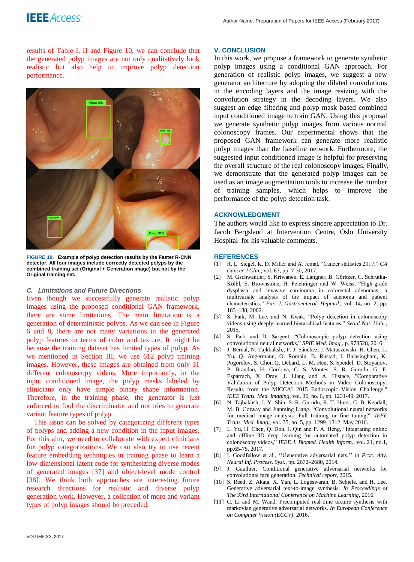results of Table I, II and Figure 10, we can conclude that the generated polyp images are not only qualitatively look realistic but also help to improve polyp detection performance.



**FIGURE 10. Example of polyp detection results by the Faster R-CNN detector. All four images include correctly detected polyps by the combined training set (Original + Generation image) but not by the Original training set.**

## *C. Limitations and Future Directions*

Even though we successfully generate realistic polyp images using the proposed conditional GAN framework, there are some limitations. The main limitation is a generation of deterministic polyps. As we can see in Figure 6 and 8, there are not many variations in the generated polyp features in terms of color and texture. It might be because the training dataset has limited types of polyp. As we mentioned in Section III, we use 612 polyp training images. However, these images are obtained from only 31 different colonoscopy videos. More importantly, in the input conditioned image, the polyp masks labeled by clinicians only have simple binary shape information. Therefore, in the training phase, the generator is just enforced to fool the discriminator and not tries to generate variant feature types of polyp.

This issue can be solved by categorizing different types of polyps and adding a new condition in the input images. For this aim, we need to collaborate with expert clinicians for polyp categorizations. We can also try to use recent feature embedding techniques in training phase to learn a low-dimensional latent code for synthesizing diverse modes of generated images [37] and object-level mode control [38]. We think both approaches are interesting future research directions for realistic and diverse polyp generation work. However, a collection of more and variant types of polyp images should be preceded.

### **V. CONCLUSION**

In this work, we propose a framework to generate synthetic polyp images using a conditional GAN approach. For generation of realistic polyp images, we suggest a new generator architecture by adopting the dilated convolutions in the encoding layers and the image resizing with the convolution strategy in the decoding layers. We also suggest an edge filtering and polyp mask based combined input conditioned image to train GAN. Using this proposal we generate synthetic polyp images from various normal colonoscopy frames. Our experimental shows that the proposed GAN framework can generate more realistic polyp images than the baseline network. Furthermore, the suggested input conditioned image is helpful for preserving the overall structure of the real colonoscopy images. Finally, we demonstrate that the generated polyp images can be used as an image augmentation tools to increase the number of training samples, which helps to improve the performance of the polyp detection task.

# **ACKNOWLEDGMENT**

The authors would like to express sincere appreciation to Dr. Jacob Bergsland at Intervention Centre, Oslo University Hospital for his valuable comments.

#### **REFERENCES**

- [1] R. L. Siegel, K. D. Miller and A. Jemal, "Cancer statistics 2017," *CA Cancer J Clin.,* vol. 67, pp. 7-30, 2017.
- [2] M. Gschwantler, S. Kriwanek, E. Langner, B. Göritzer, C. Schrutka-Kölbl, E. Brownstone, H. Feichtinger and W. Weiss, "High-grade dysplasia and invasive carcinoma in colorectal adenomas: a multivariate analysis of the impact of adenoma and patient characteristics," *Eur. J. Gastroenterol. Hepatol.*, vol. 14, no. 2, pp. 183–188, 2002.
- [3] S. Park, M. Lee, and N. Kwak, "Polyp detection in colonoscopy videos using deeply-learned hierarchical features," *Seoul Nat. Univ.*, 2015.
- [4] S. Park and D. Sargent, "Colonoscopic polyp detection using convolutional neural networks," *SPIE Med. Imag.*, p. 978528, 2016.
- [5] J. Bernal, N. Tajkbaksh,, F. J. Sánchez, J. Matuszewski, H. Chen, L. Yu, Q. Angermann, O. Romain, B. Rustad, I. Balasingham, K. Pogorelov, S. Choi, Q. Debard, L. M. Hen, S. Speidel, D. Stoyanov, P. Brandao, H. Cordova, C. S. Montes, S. R. Gurudu, G. F. Esparrach, X. Dray, J. Liang and A. Histace, "Comparative Validation of Polyp Detection Methods in Video Colonoscopy: Results from the MICCAI 2015 Endoscopic Vision Challenge," *IEEE Trans. Med. Imaging*, vol. 36, no. 6, pp. 1231-49, 2017.
- [6] N. Tajbakhsh, J. Y. Shin, S. R. Gurudu, R. T. Hurst, C. B. Kendall, M. B. Gotway and Jianming Liang, "Convolutional neural networks for medical image analysis: Full training or fine tuning?" *IEEE Trans. Med. Imag.*, vol. 35, no. 5, pp. 1299–1312, May 2016.
- [7] L. Yu, H. Chen, Q. Dou, J. Qin and P. A. Heng, "Integrating online and offline 3D deep learning for automated polyp detection in colonoscopy videos," *IEEE J. Biomed. Health Inform.*, vol. 21, no.1, pp.65-75, 2017.
- [8] I. Goodfellow et al., ''Generative adversarial nets,'' *in Proc. Adv. Neural Inf. Process. Syst.*, pp. 2672–2680, 2014.
- [9] J. Gauthier. Conditional generative adversarial networks for convolutional face generation. *Technical report*, 2015.
- [10] S. Reed, Z. Akata, X. Yan, L. Logeswaran, B. Schiele, and H. Lee. Generative adversarial text-to-image synthesis. *In Proceedings of The 33rd International Conference on Machine Learning*, 2016.
- [11] C. Li and M. Wand. Precomputed real-time texture synthesis with markovian generative adversarial networks. *In European Conference on Computer Vision (ECCV)*, 2016.